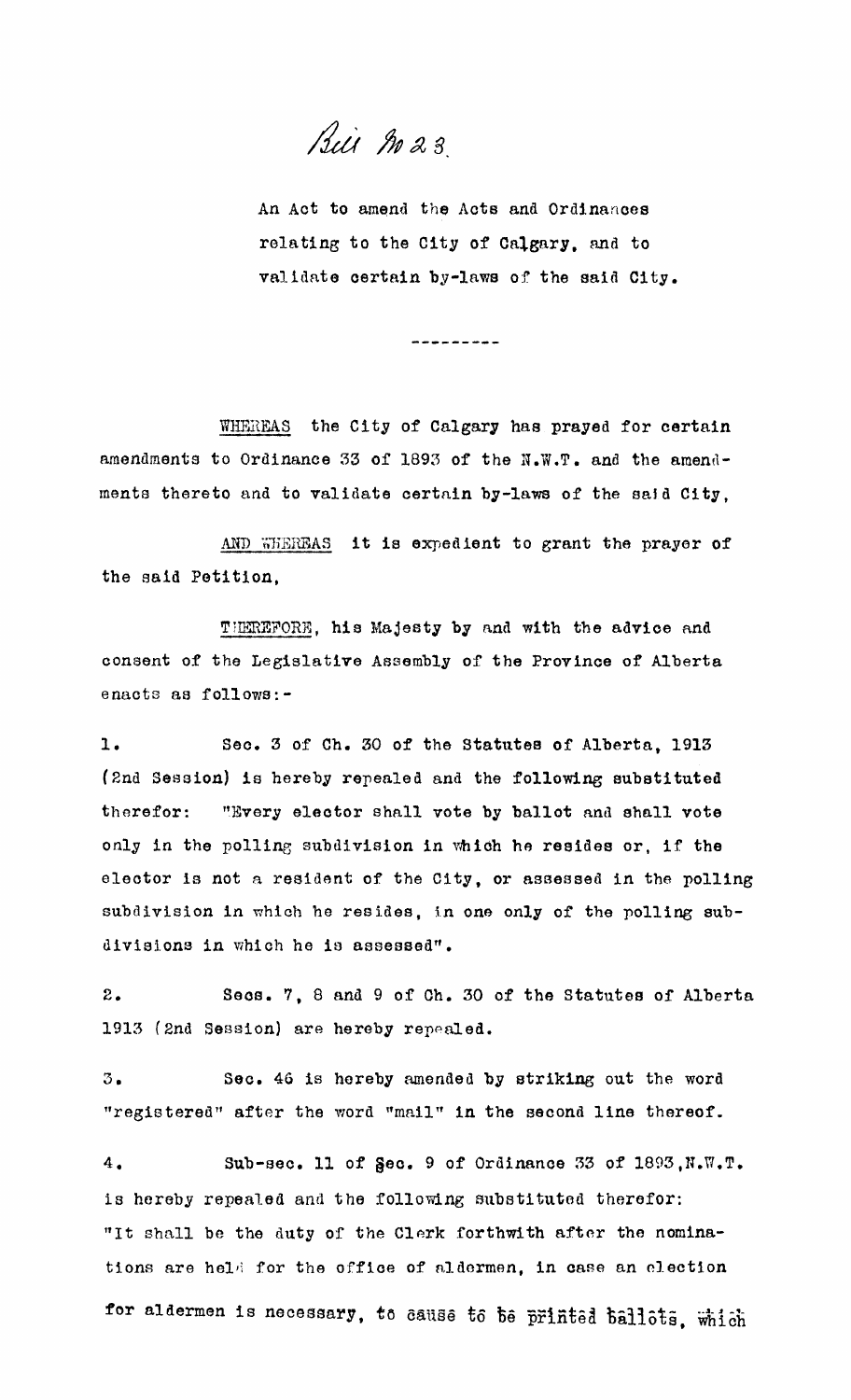Bill M23

An Act to amend the Acts and Ordinances relating to the City of Calgary. and to validate certain by-laws of the said City.

---------

WHEREAS the City of Calgary has prayed for certain amendments to Ordinance 33 of 1893 of the N.W.T. and the amendments thereto and to validate certain by-laws of the said City.

AND WHEREAS it is expedient to grant the prayer of the said Petition,

THEREFORE, his Majesty by and with the advice and consent of the Legislative Assembly of the Provinoe of Alberta enacts as follows:-

1. Seo. 3 of Ch. 30 of the statutes of Alberta. 1913 (2nd Sesaion) is hereby repealed and the following substituted therefor: "Every elector shall vote by ballot and shall vote only in the polling subdivision in which he resides or, if the elector 1s not a resident of the City, or assessed in the polling subdivision in which he resides, in one only of the polling subdivisions in which he is assessed".

2. Seas. 7, 8 and 9 of Ch. 30 of the statutes of Alberta 1913 (2nd Session) are hereby repealed.

 $3.$ Sec. 46 is hereby amended by striking out the word "registered" after the word "mail" in the seoond line thereof.

 $4.$ Sub-sec. 11 of  $\texttt{Sec. 9 of Ordinance 33 of 1893},\texttt{N.W.T.}$ is hereby repealed and the following substituted therefor: "It shall be the duty of the Clerk forthwith after the nominations are held for the office of aldermen, in case an election for aldermen is necessary, to cause to be printed ballots, which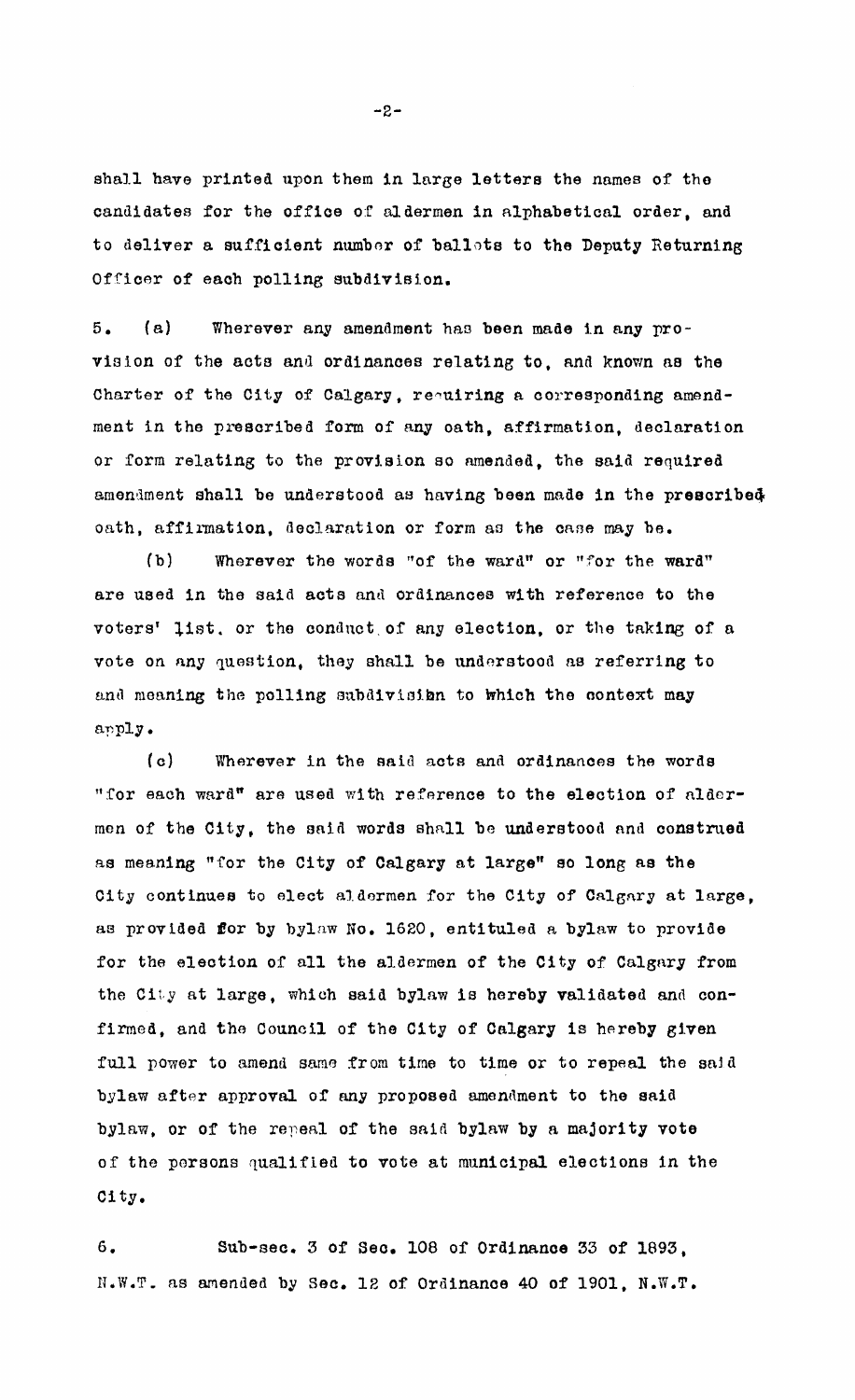shall have printed upon them in large letters the names of the candidates for the office of aldermen in alphabetical order, and to deliver a sufficient number of ballots to the Deputy Returning Officer of each polling subdivision.

5. (a) Wherever any amendment has been made in any provision of the acts and ordinances relating to, and known as the Charter of the City of Calgary, requiring a corresponding amendment in the prescribed form of any oath, affirmation, declaration or form relating to the provision so amended, the said required amendment shall be understood as having been made in the prescribed oath, affirmation, declaration or form as the case may be.

(b) Wherever the words "of the ward" or "for the ward" are used in the said aots and ordinanoes with referenoe to the voters' list, or the conduct of any election, or the taking of a vote on any question, they shall be understood as referring to and meaning the polling subdivisibn to which the context may apply.

(c) Wherever in the said acts and ordinances the words "for each ward" are used wi th reference to the election of nldormen of the City. the said words shall be understood and construed as meaning "for the City of Calgary at large" so long as the City continues to elect aldermen for the City of Calgary at large. as provided for by bylaw No. 1620, entituled a bylaw to provide for the eleotion of all the aldermen of the City of Calgary from the City at large, which said bylaw is hereby validated and confirmed. and the Council of the City of Calgary is hereby given full power to amend same from time to time or to repeal the said bylaw after approval of any proposed amendment to the said bylaw, or of the repeal of the said bylaw by a majority vote of the persons qualified to vote at municipal elections in the Oi ty.

6. Sub-sec. 3 of Seo. 108 of Ordinanoe 33 of 1893, N.W.T. as amended by Sec. 12 of Ordinance 40 of 1901, N.W.T.

 $-2-$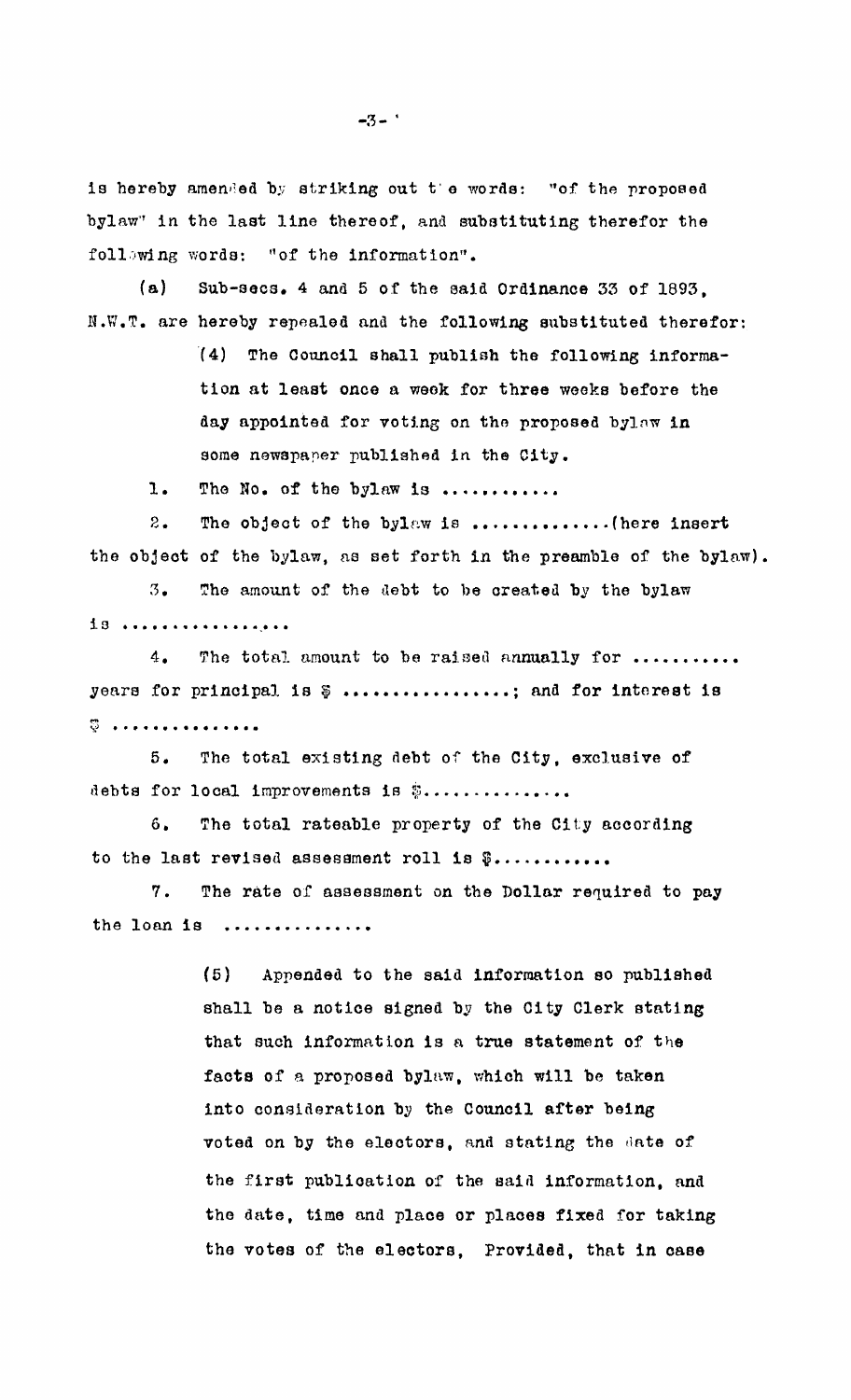is hereby amended by striking out t'e words: "of the proposed bylaw" in the last line thereof, and substituting therefor the following words: "of the information".

 $(a)$ Sub-secs. 4 and 5 of the said Ordinance 33 of 1893. N.W.T. are hereby repealed and the following substituted therefor:

> $(4)$ The Council shall publish the following information at least once a week for three weeks before the day appointed for voting on the proposed bylaw in some newspaper published in the City.

The No. of the bylaw is ............  $1.$ 

 $2.$ The object of the bylaw is ...............(here insert the object of the bylaw, as set forth in the preamble of the bylaw).

 $3.$ The amount of the debt to be created by the bylaw 18 .................

The total amount to be raised annually for ...........  $4.$ years for principal is  $\emptyset$  ................; and for interest is  $\ddot{\heartsuit}$  . . . . . . . . . . . . . . . .

The total existing debt of the City, exclusive of  $5.$ debts for local improvements is \$...............

 $6.$ The total rateable property of the City according to the last revised assessment roll is \$............

7. The rate of assessment on the Dollar required to pay the loan is ...............

> $(5)$ Appended to the said information so published shall be a notice signed by the City Clerk stating that such information is a true statement of the facts of a proposed bylaw, which will be taken into consideration by the Council after being voted on by the electors, and stating the date of the first publication of the said information, and the date, time and place or places fixed for taking the votes of the electors, Provided, that in case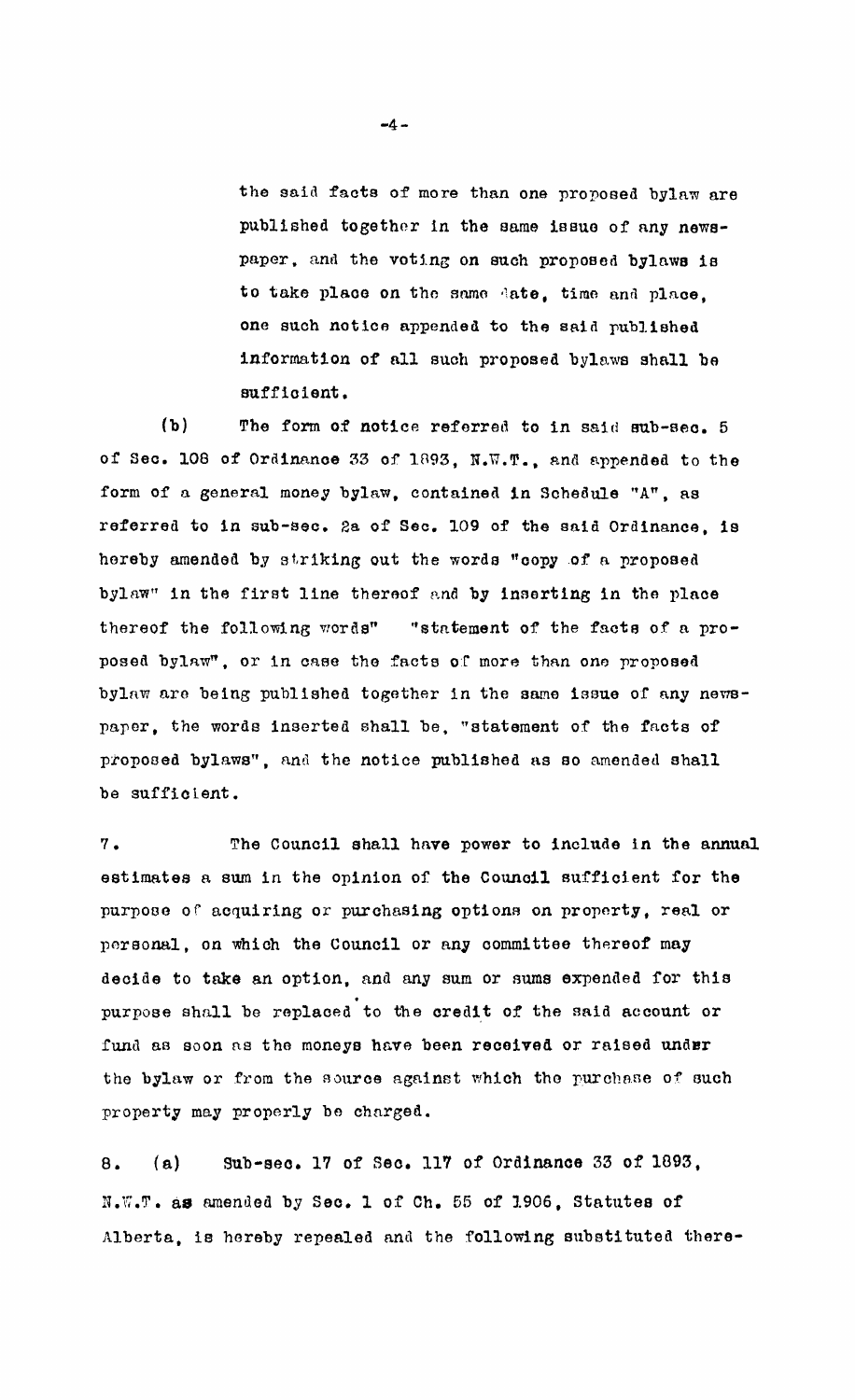the said facts of more than one proposed bylaw are published together in the same issue of any newspaper, and the voting on such proposed bylaws is to take place on the same date, time and place. one such notice appended to the said published information of all such proposed bylaws shall be sufficient.

 $(b)$ The form of notice referred to in said sub-sec. 5 of Sec. 108 of Ordinance 33 of 1893, N.W.T., and appended to the form of a general money bylaw, contained in Schedule "A", as referred to in sub-sec. 2a of Sec. 109 of the said Ordinance, is hereby amended by striking out the words "copy of a proposed bylaw" in the first line thereof and by inserting in the place thereof the following words" "statement of the facts of a proposed bylaw", or in case the facts of more than one proposed bylaw are being published together in the same issue of any newspaper, the words inserted shall be, "statement of the facts of proposed bylaws", and the notice published as so amended shall be sufficient.

The Council shall have power to include in the annual  $7.$ estimates a sum in the opinion of the Council sufficient for the purpose of acquiring or purchasing options on property, real or personal, on which the Council or any committee thereof may decide to take an option, and any sum or sums expended for this purpose shall be replaced to the credit of the said account or fund as soon as the moneys have been received or raised under the bylaw or from the source against which the purchase of such property may properly be charged.

Sub-sec. 17 of Sec. 117 of Ordinance 33 of 1893,  $8.$  $(a)$ N.W.T. as amended by Sec. 1 of Ch. 55 of 1906. Statutes of Alberta, is hereby repealed and the following substituted there-

 $-4-$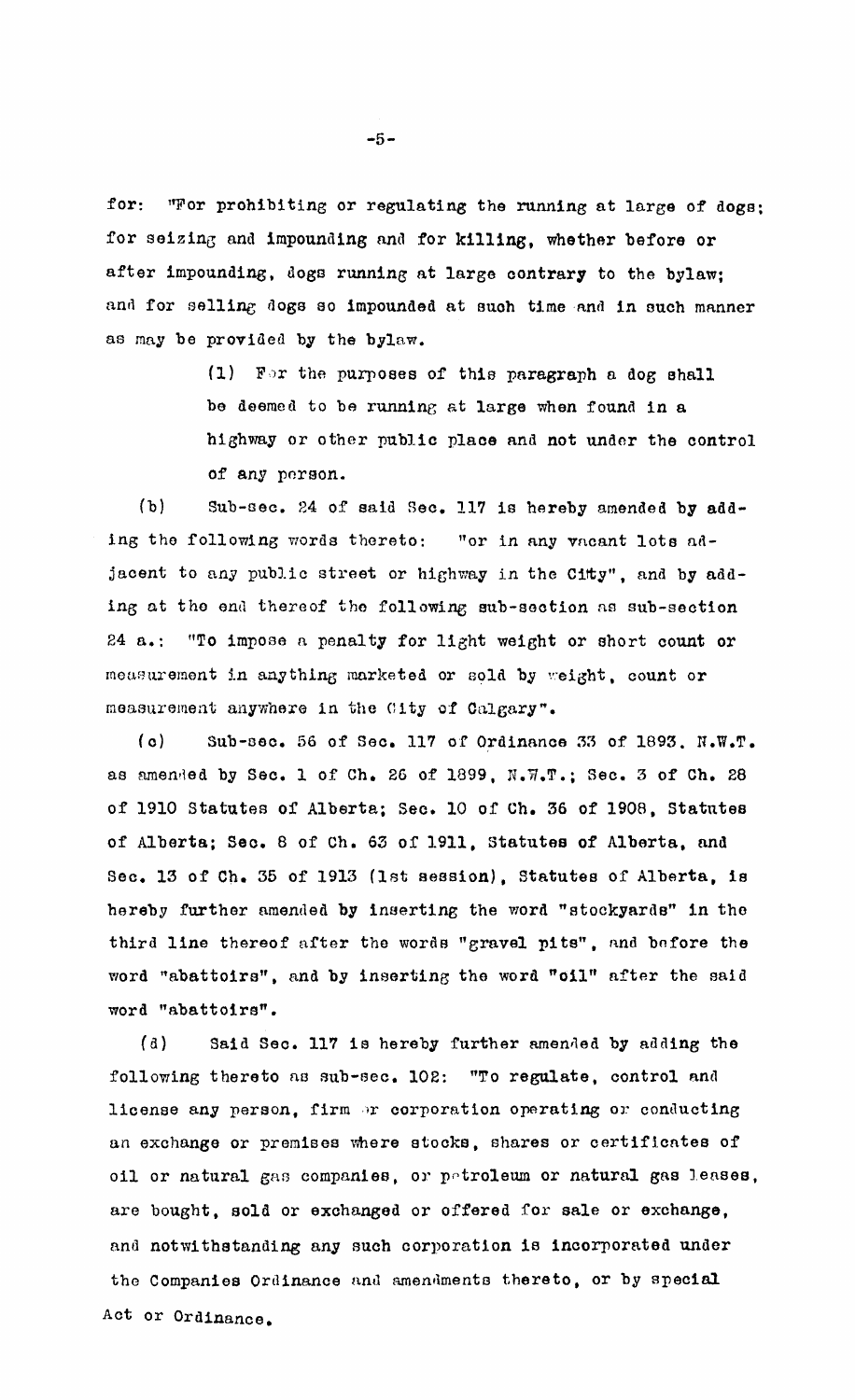for: "For prohibiting or regulating the running at large of dogs; for seizing and impounding and for killing, whether before or after impounding, dogs running at large contrary to the bylaw; and for selling dogs so impounded at such time and in such manner as may be provided by the bylaw.

> (1) For the purposes of this paragraph a dog shall be deemed to be running at large when found in a highway or other public place and not under the control of any person.

 $(b)$ Sub-sec. 24 of said Sec. 117 is hereby amended by adding the following words thereto: "or in any vacant lots adjacent to any public street or highway in the City", and by adding at the end thereof the following sub-section as sub-section "To impose a penalty for light weight or short count or  $24 \, a_{\bullet}$ : measurement in anything marketed or sold by weight, count or measurement anywhere in the City of Calgary".

 $(a)$ Sub-sec. 56 of Sec. 117 of Ordinance 33 of 1893. N.W.T. as amended by Sec. 1 of Ch. 26 of 1899, N.W.T.; Sec. 3 of Ch. 28 of 1910 Statutes of Alberta; Sec. 10 of Ch. 36 of 1908, Statutes of Alberta; Sec. 8 of Ch. 63 of 1911, Statutes of Alberta, and Sec. 13 of Ch. 35 of 1913 (1st session). Statutes of Alberta, is hereby further amended by inserting the word "stockyards" in the third line thereof after the words "gravel pits", and before the word "abattoirs", and by inserting the word "oil" after the said word "abattoirs".

 $\left( \begin{array}{c} a \end{array} \right)$ Said Sec. 117 is hereby further amended by adding the following thereto as sub-sec. 102: "To regulate, control and license any person, firm or corporation operating or conducting an exchange or premises where stocks, shares or certificates of oil or natural gas companies, or petroleum or natural gas leases, are bought, sold or exchanged or offered for sale or exchange, and notwithstanding any such corporation is incorporated under the Companies Ordinance and amendments thereto, or by special Act or Ordinance.

 $-5-$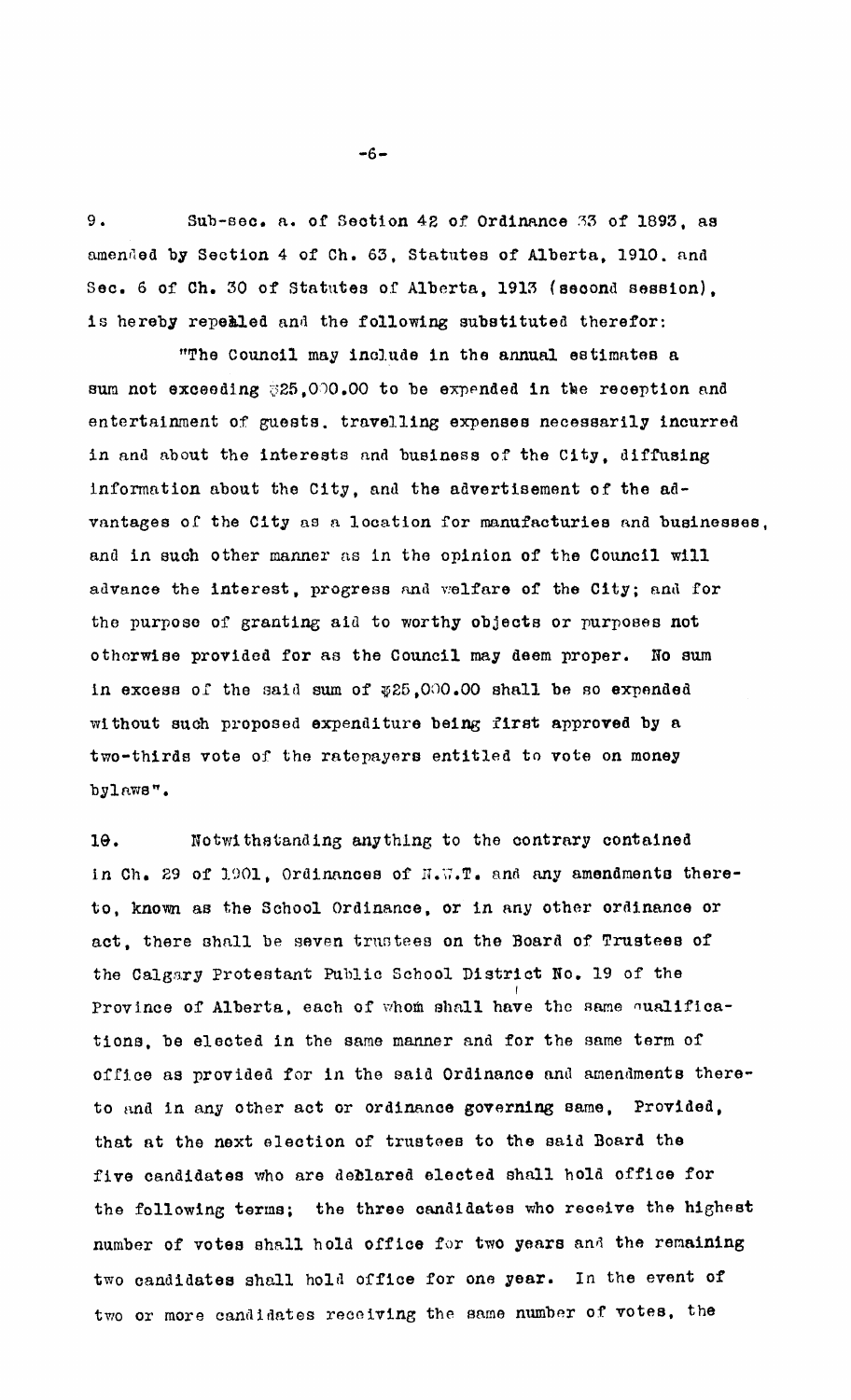$9.$ Sub-sec. a. of Section 42 of Ordinance 33 of 1893, as amended by Section 4 of Ch. 63, Statutes of Alberta, 1910. and Sec. 6 of Ch. 30 of Statutes of Alberta, 1913 (second session), is hereby repealed and the following substituted therefor:

"The Council may include in the annual estimates a sum not exceeding \$25,000.00 to be expended in the reception and entertainment of guests. travelling expenses necessarily incurred in and about the interests and business of the City. diffusing information about the City, and the advertisement of the advantages of the City as a location for manufacturies and businesses, and in such other manner as in the opinion of the Council will advance the interest, progress and welfare of the City; and for the purpose of granting aid to worthy objects or purposes not otherwise provided for as the Council may deem proper. No sum in excess of the said sum of \$25,000.00 shall be so expended without such proposed expenditure being first approved by a two-thirds vote of the ratepayers entitled to vote on money bylaws".

Notwithstanding anything to the contrary contained  $10.$ in Ch. 29 of 1901, Ordinances of N.W.T. and any amendments thereto, known as the School Ordinance, or in any other ordinance or act, there shall be seven trustees on the Board of Trustees of the Calgary Protestant Public School District No. 19 of the Province of Alberta, each of whom shall have the same qualifications, be elected in the same manner and for the same term of office as provided for in the said Ordinance and amendments thereto and in any other act or ordinance governing same, Provided. that at the next election of trustees to the said Board the five candidates who are declared elected shall hold office for the following terms; the three candidates who receive the highest number of votes shall hold office for two years and the remaining two candidates shall hold office for one year. In the event of two or more candidates receiving the same number of votes, the

 $-6-$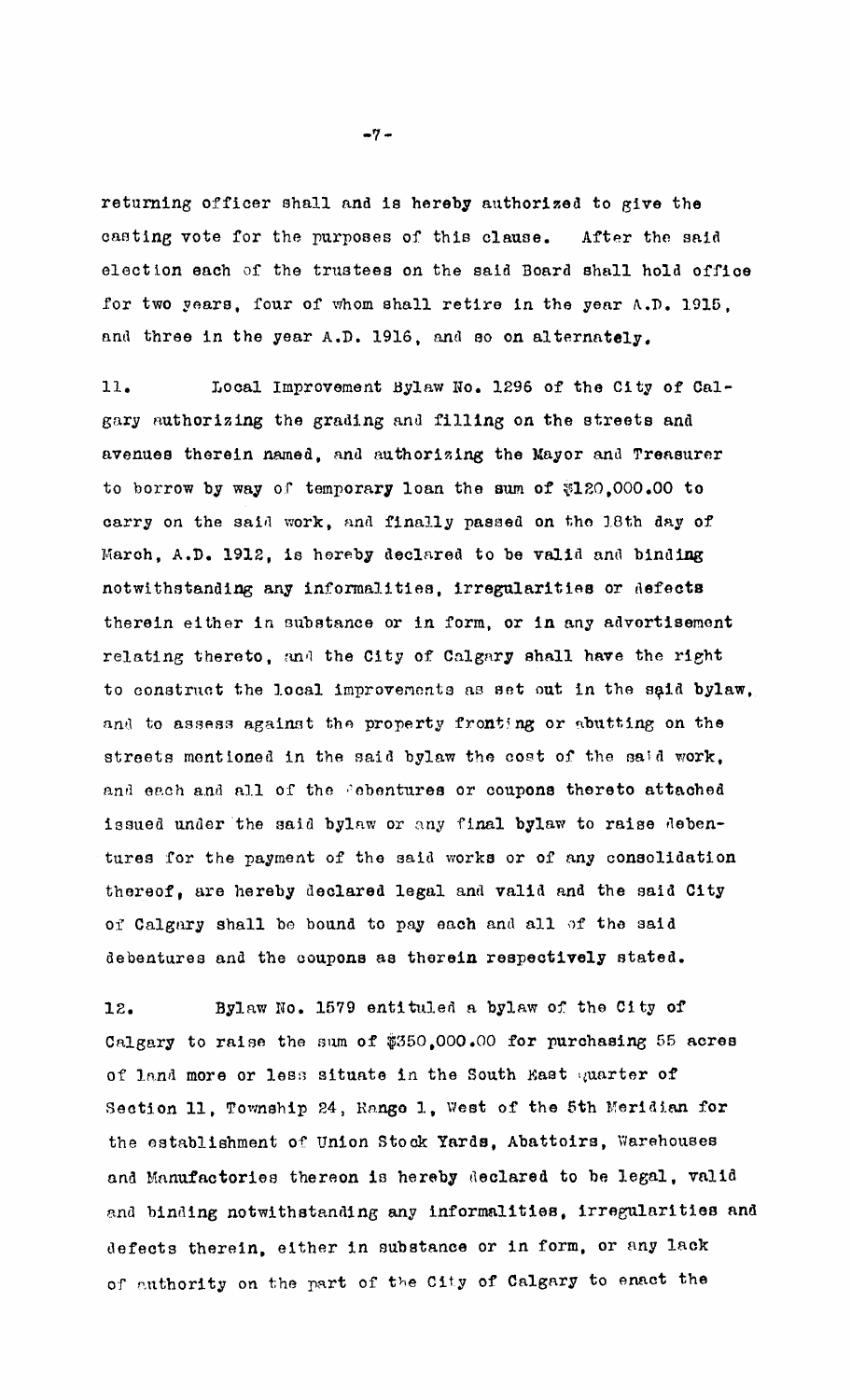returning officer shall and is hereby authorized to give the casting vote for the purposes of this clause. After the said election each of the trustees on the said Board shall hold offioe for two years. four of whom shall retire in the year  $A.D. 1915.$ and three in the year A.D. 1916, and so on alternately.

11. Local Improvement Hylaw No. 1296 of the City of Ca1 gary authorizing the grading and filling on the streets and avenues therein named, and authorizing the Mayor and Treasurer to borrow by way of temporary loan the sum of  $$120,000.00$  to carry on the said work, and finally passed on the 18th day of March, A.D. 1912, is hereby declared to be valid and binding notwithstanding any informalities, irregularities or defects therein either in substance or in form, or in any advertisement relating thereto, and the City of Calgary shall have the right to construct the local improvements as set out in the said bylaw, and to assess against the property fronting or abutting on the streets mentioned in the said bylaw the cost of the said work, and each and all of the Pebentures or coupons thereto attached issued under the said bylaw or any final bylaw to raise debentures for the payment of the said works or of any consolidation thereof, are hereby declared legal and valid and the said City of Calgary shall be bound to pay each and all of the said debentures and the ooupons as therein respectively stated.

12. Bylaw No. 1579 entituled a bylaw of the City of Calgary to raise the sum of  $$350,000.00$  for purchasing 55 acres of land more or less situate in the South Mast quarter of Section 11, Township 24, Range 1, West of the 5th Meridian for the establishment of Union Stock Yards. Abattoirs, Warehouses and Manufactories thereon is hereby declared to be legal, valid ana binding notwithstanding any informalities, irregularities and defects therein, either in substance or in form, or any lack of authority on the part of the City of Calgary to enact the

 $-7-$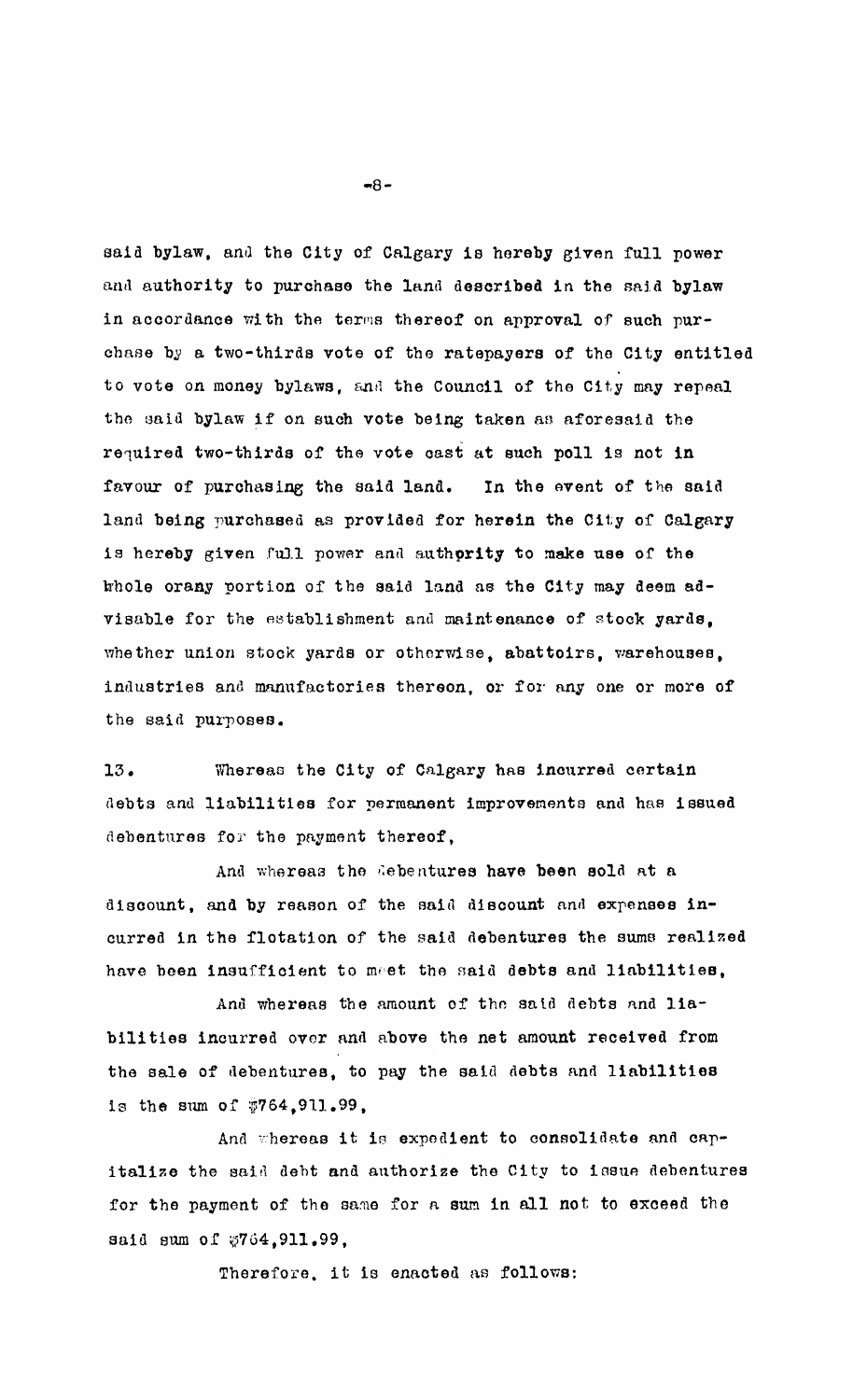said bylaw, and the City of Calgary is hereby given full power and authority to purchase the land described in the said bylaw in accordance with the terms thereof on approval of such purchase by a two-thirds vote of the ratepayers of the City entitled to vote on money bylaws, and the Council of the City may repeal the said bylaw if on such vote being taken as aforesaid the required two-thirds of the vote cast at such poll is not in favour of purchasing the said land. In the event of the said land being purchased as provided for herein the City of Calgary is hereby given full power and authority to make use of the thole orany portion of the said land as the City may deem advisable for the establishment and maintenance of stock yards. whether union stock yards or otherwise, abattoirs, warehouses, industries and manufactories thereon, or for any one or more of the said purposes.

13. Whereas the City of Calgary has incurred certain debts and liabilities for permanent improvements and has issued debentures for the payment thereof.

And whereas the debentures have been sold at a discount, and by reason of the said discount and expenses incurred in the flotation of the said debentures the sums realized have been insufficient to meet the said debts and liabilities,

And whereas the amount of the said debts and liabilities incurred over and above the net amount received from the sale of debentures, to pay the said debts and liabilities is the sum of \$764,911.99,

And whereas it is expedient to consolidate and capitalize the said debt and authorize the City to issue debentures for the payment of the same for a sum in all not to exceed the said sum of \$764.911.99,

Therefore, it is enacted as follows:

 $-8-$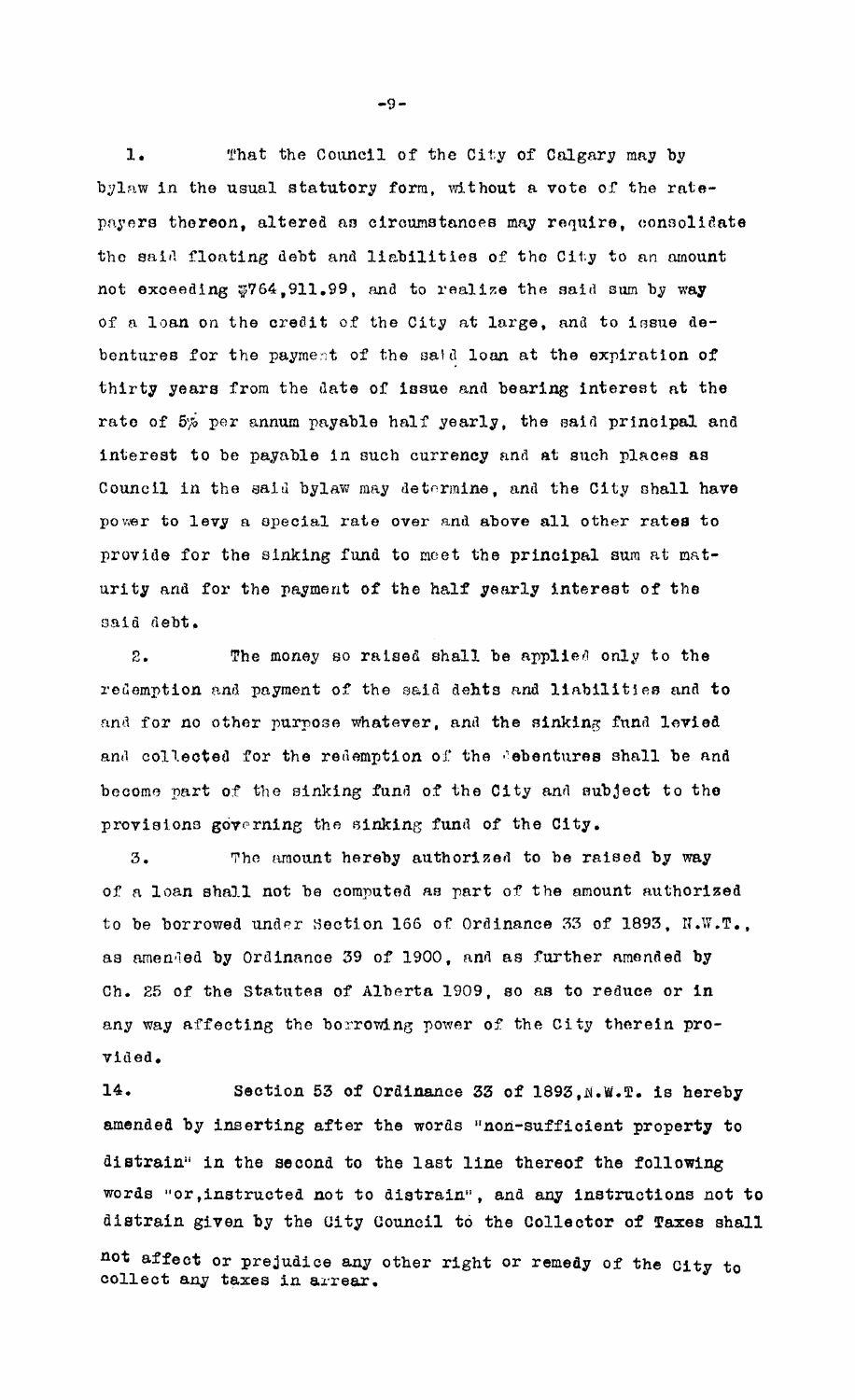That the Council of the City of Calgary may by  $1.$ bylaw in the usual statutory form, without a vote of the ratepayers thereon, altered as circumstances may require, consolidate the said floating debt and liabilities of the City to an amount not exceeding \$764,911.99, and to realize the said sum by way of a loan on the credit of the City at large, and to issue debentures for the payment of the said loan at the expiration of thirty years from the date of issue and bearing interest at the rate of 5% per annum payable half yearly, the said principal and interest to be payable in such currency and at such places as Council in the said bylaw may determine, and the City shall have power to levy a special rate over and above all other rates to provide for the sinking fund to meet the principal sum at maturity and for the payment of the half yearly interest of the said debt.

The money so raised shall be applied only to the  $\mathcal{D}_{\perp}$ redemption and payment of the said dehts and liabilities and to and for no other purpose whatever, and the sinking fund levied and collected for the redemption of the debentures shall be and become part of the sinking fund of the City and subject to the provisions governing the sinking fund of the City.

The amount hereby authorized to be raised by way  $3.$ of a loan shall not be computed as part of the amount authorized to be borrowed under Section 166 of Ordinance 33 of 1893, N.W.T., as amended by Ordinance 39 of 1900, and as further amended by Ch. 25 of the Statutes of Alberta 1909, so as to reduce or in any way affecting the borrowing power of the City therein provided.

14. Section 53 of Ordinance 33 of 1893, N.W.T. is hereby amended by inserting after the words "non-sufficient property to distrain" in the second to the last line thereof the following words "or, instructed not to distrain", and any instructions not to distrain given by the City Council to the Collector of Taxes shall

not affect or prejudice any other right or remedy of the City to collect any taxes in arrear.

 $-9-$